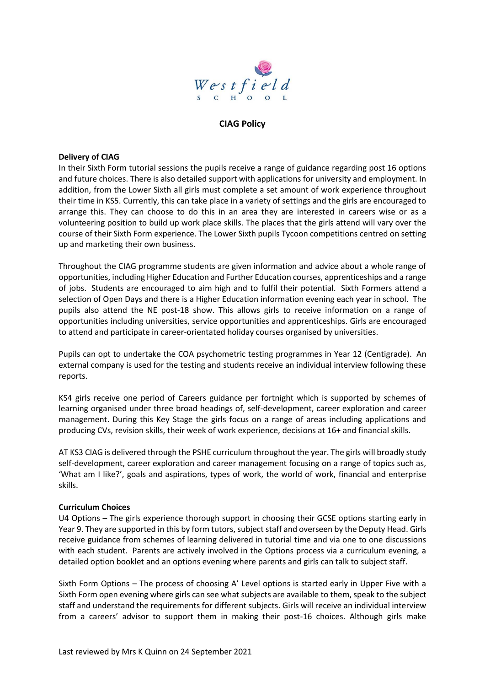

# **CIAG Policy**

#### **Delivery of CIAG**

In their Sixth Form tutorial sessions the pupils receive a range of guidance regarding post 16 options and future choices. There is also detailed support with applications for university and employment. In addition, from the Lower Sixth all girls must complete a set amount of work experience throughout their time in KS5. Currently, this can take place in a variety of settings and the girls are encouraged to arrange this. They can choose to do this in an area they are interested in careers wise or as a volunteering position to build up work place skills. The places that the girls attend will vary over the course of their Sixth Form experience. The Lower Sixth pupils Tycoon competitions centred on setting up and marketing their own business.

Throughout the CIAG programme students are given information and advice about a whole range of opportunities, including Higher Education and Further Education courses, apprenticeships and a range of jobs. Students are encouraged to aim high and to fulfil their potential. Sixth Formers attend a selection of Open Days and there is a Higher Education information evening each year in school. The pupils also attend the NE post-18 show. This allows girls to receive information on a range of opportunities including universities, service opportunities and apprenticeships. Girls are encouraged to attend and participate in career-orientated holiday courses organised by universities.

Pupils can opt to undertake the COA psychometric testing programmes in Year 12 (Centigrade). An external company is used for the testing and students receive an individual interview following these reports.

KS4 girls receive one period of Careers guidance per fortnight which is supported by schemes of learning organised under three broad headings of, self-development, career exploration and career management. During this Key Stage the girls focus on a range of areas including applications and producing CVs, revision skills, their week of work experience, decisions at 16+ and financial skills.

AT KS3 CIAG is delivered through the PSHE curriculum throughout the year. The girls will broadly study self-development, career exploration and career management focusing on a range of topics such as, 'What am I like?', goals and aspirations, types of work, the world of work, financial and enterprise skills.

#### **Curriculum Choices**

U4 Options – The girls experience thorough support in choosing their GCSE options starting early in Year 9. They are supported in this by form tutors, subject staff and overseen by the Deputy Head. Girls receive guidance from schemes of learning delivered in tutorial time and via one to one discussions with each student. Parents are actively involved in the Options process via a curriculum evening, a detailed option booklet and an options evening where parents and girls can talk to subject staff.

Sixth Form Options – The process of choosing A' Level options is started early in Upper Five with a Sixth Form open evening where girls can see what subjects are available to them, speak to the subject staff and understand the requirements for different subjects. Girls will receive an individual interview from a careers' advisor to support them in making their post-16 choices. Although girls make